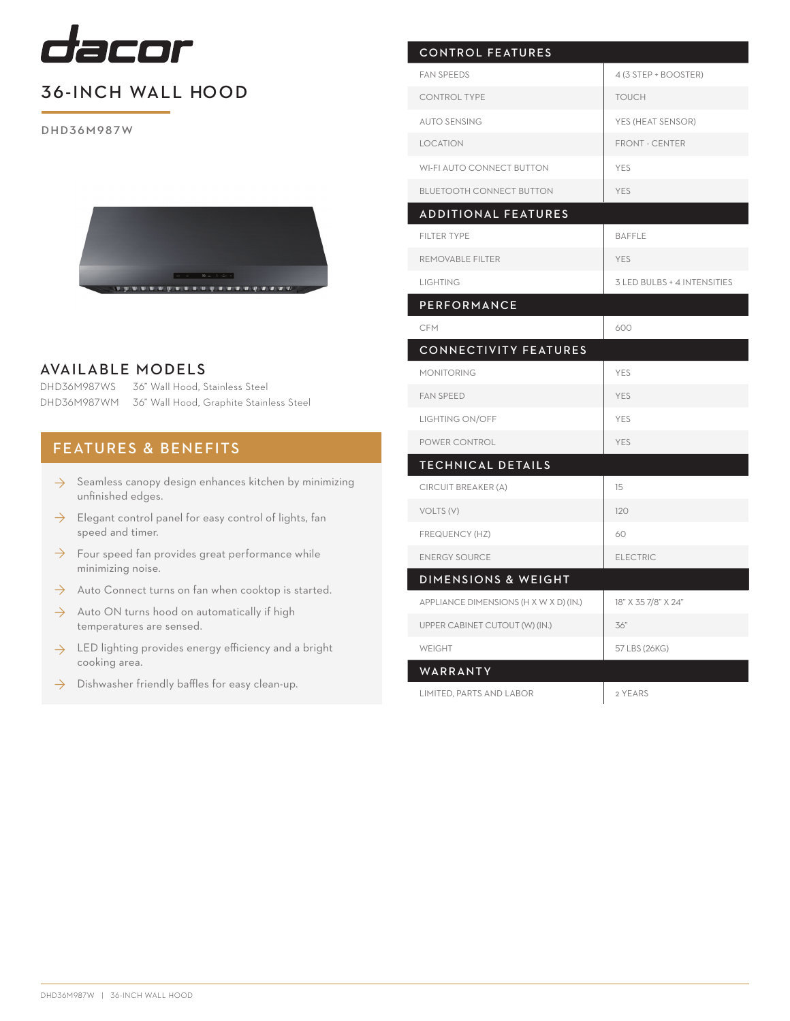

## 36-INCH WALL HOOD

DHD36M987W



## AVAILABLE MODELS

DHD36M987WS 36" Wall Hood, Stainless Steel DHD36M987WM 36" Wall Hood, Graphite Stainless Steel

## FEATURES & BENEFITS

- $\rightarrow$  Seamless canopy design enhances kitchen by minimizing unfinished edges.
- Elegant control panel for easy control of lights, fan speed and timer. ◊
- $\rightarrow$  Four speed fan provides great performance while minimizing noise.
- Auto Connect turns on fan when cooktop is started. ◊
- $\rightarrow$  Auto ON turns hood on automatically if high temperatures are sensed.
- $\rightarrow$  LED lighting provides energy efficiency and a bright cooking area.
- Dishwasher friendly baffles for easy clean-up. ◊

| <b>CONTROL FEATURES</b>                |                             |
|----------------------------------------|-----------------------------|
| <b>FAN SPEEDS</b>                      | 4 (3 STEP + BOOSTER)        |
| <b>CONTROL TYPE</b>                    | <b>TOUCH</b>                |
| <b>AUTO SENSING</b>                    | YES (HEAT SENSOR)           |
| <b>LOCATION</b>                        | <b>FRONT - CENTER</b>       |
| <b>WI-FI AUTO CONNECT BUTTON</b>       | YES                         |
| <b>BLUETOOTH CONNECT BUTTON</b>        | <b>YES</b>                  |
| <b>ADDITIONAL FEATURES</b>             |                             |
| <b>FILTER TYPE</b>                     | <b>BAFFLE</b>               |
| REMOVABLE FILTER                       | <b>YES</b>                  |
| <b>LIGHTING</b>                        | 3 LED BULBS + 4 INTENSITIES |
| <b>PERFORMANCE</b>                     |                             |
| <b>CFM</b>                             | 600                         |
| <b>CONNECTIVITY FEATURES</b>           |                             |
| <b>MONITORING</b>                      | YES                         |
| <b>FAN SPEED</b>                       | <b>YES</b>                  |
| <b>LIGHTING ON/OFF</b>                 | <b>YES</b>                  |
| POWER CONTROL                          | <b>YES</b>                  |
| <b>TECHNICAL DETAILS</b>               |                             |
| CIRCUIT BREAKER (A)                    | 15                          |
| VOLTS (V)                              | 120                         |
| FREQUENCY (HZ)                         | 60                          |
| <b>ENERGY SOURCE</b>                   | <b>ELECTRIC</b>             |
| DIMENSIONS & WEIGHT                    |                             |
| APPLIANCE DIMENSIONS (H X W X D) (IN.) | 18" X 35 7/8" X 24"         |
| UPPER CABINET CUTOUT (W) (IN.)         | 36"                         |
| <b>WEIGHT</b>                          | 57 LBS (26KG)               |
| WARRANTY                               |                             |
| LIMITED, PARTS AND LABOR               | 2 YEARS                     |